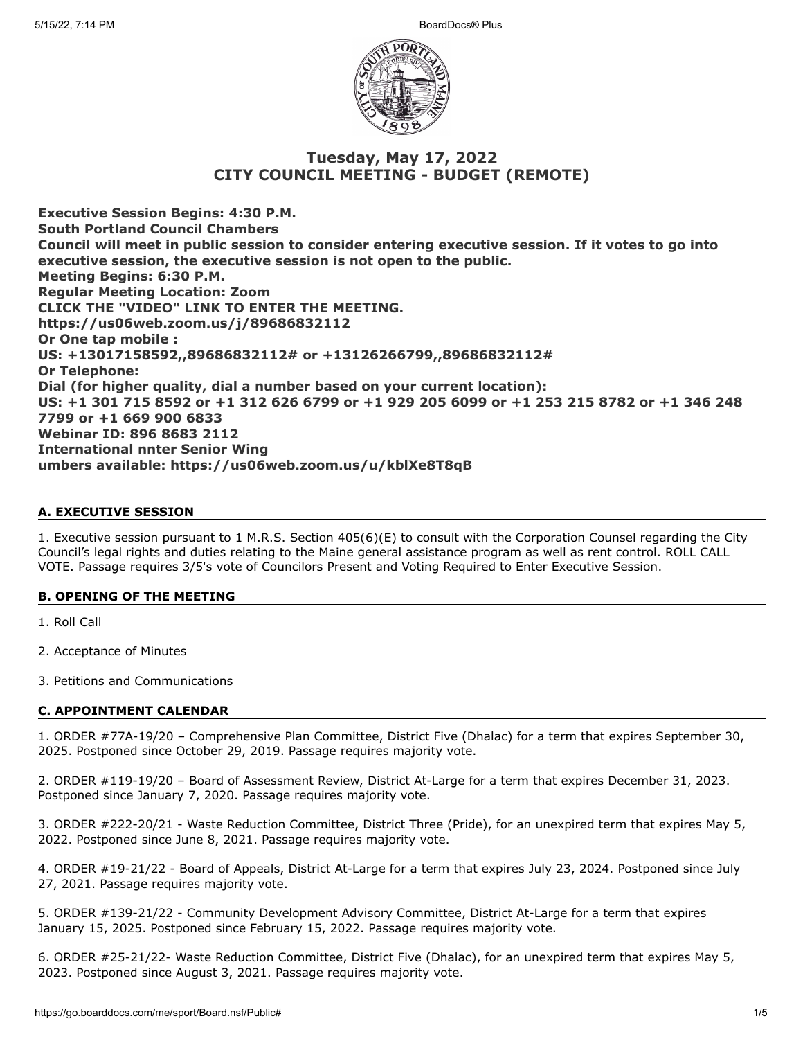

# **Tuesday, May 17, 2022 CITY COUNCIL MEETING - BUDGET (REMOTE)**

**Executive Session Begins: 4:30 P.M. South Portland Council Chambers Council will meet in public session to consider entering executive session. If it votes to go into executive session, the executive session is not open to the public. Meeting Begins: 6:30 P.M. Regular Meeting Location: Zoom CLICK THE "VIDEO" LINK TO ENTER THE MEETING. https://us06web.zoom.us/j/89686832112 Or One tap mobile : US: +13017158592,,89686832112# or +13126266799,,89686832112# Or Telephone: Dial (for higher quality, dial a number based on your current location): US: +1 301 715 8592 or +1 312 626 6799 or +1 929 205 6099 or +1 253 215 8782 or +1 346 248 7799 or +1 669 900 6833 Webinar ID: 896 8683 2112 International nnter Senior Wing umbers available: https://us06web.zoom.us/u/kblXe8T8qB**

# **A. EXECUTIVE SESSION**

1. Executive session pursuant to 1 M.R.S. Section 405(6)(E) to consult with the Corporation Counsel regarding the City Council's legal rights and duties relating to the Maine general assistance program as well as rent control. ROLL CALL VOTE. Passage requires 3/5's vote of Councilors Present and Voting Required to Enter Executive Session.

# **B. OPENING OF THE MEETING**

1. Roll Call

- 2. Acceptance of Minutes
- 3. Petitions and Communications

# **C. APPOINTMENT CALENDAR**

1. ORDER #77A-19/20 – Comprehensive Plan Committee, District Five (Dhalac) for a term that expires September 30, 2025. Postponed since October 29, 2019. Passage requires majority vote.

2. ORDER #119-19/20 – Board of Assessment Review, District At-Large for a term that expires December 31, 2023. Postponed since January 7, 2020. Passage requires majority vote.

3. ORDER #222-20/21 - Waste Reduction Committee, District Three (Pride), for an unexpired term that expires May 5, 2022. Postponed since June 8, 2021. Passage requires majority vote.

4. ORDER #19-21/22 - Board of Appeals, District At-Large for a term that expires July 23, 2024. Postponed since July 27, 2021. Passage requires majority vote.

5. ORDER #139-21/22 - Community Development Advisory Committee, District At-Large for a term that expires January 15, 2025. Postponed since February 15, 2022. Passage requires majority vote.

6. ORDER #25-21/22- Waste Reduction Committee, District Five (Dhalac), for an unexpired term that expires May 5, 2023. Postponed since August 3, 2021. Passage requires majority vote.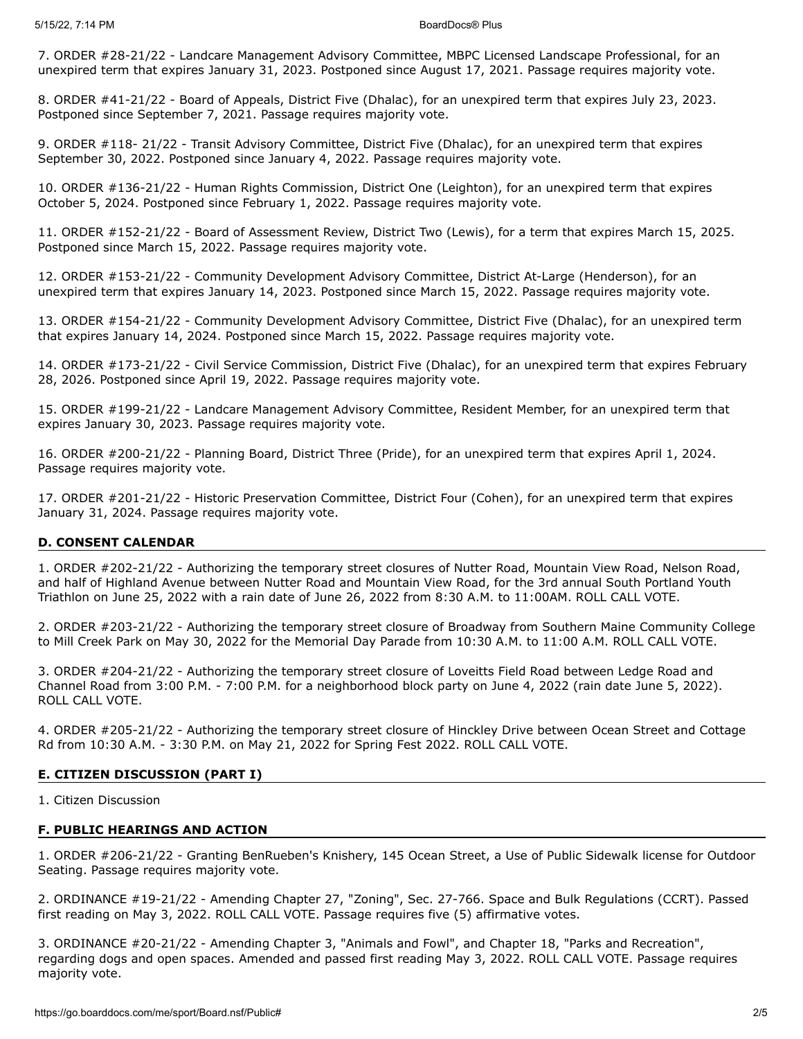7. ORDER #28-21/22 - Landcare Management Advisory Committee, MBPC Licensed Landscape Professional, for an unexpired term that expires January 31, 2023. Postponed since August 17, 2021. Passage requires majority vote.

8. ORDER #41-21/22 - Board of Appeals, District Five (Dhalac), for an unexpired term that expires July 23, 2023. Postponed since September 7, 2021. Passage requires majority vote.

9. ORDER #118- 21/22 - Transit Advisory Committee, District Five (Dhalac), for an unexpired term that expires September 30, 2022. Postponed since January 4, 2022. Passage requires majority vote.

10. ORDER #136-21/22 - Human Rights Commission, District One (Leighton), for an unexpired term that expires October 5, 2024. Postponed since February 1, 2022. Passage requires majority vote.

11. ORDER #152-21/22 - Board of Assessment Review, District Two (Lewis), for a term that expires March 15, 2025. Postponed since March 15, 2022. Passage requires majority vote.

12. ORDER #153-21/22 - Community Development Advisory Committee, District At-Large (Henderson), for an unexpired term that expires January 14, 2023. Postponed since March 15, 2022. Passage requires majority vote.

13. ORDER #154-21/22 - Community Development Advisory Committee, District Five (Dhalac), for an unexpired term that expires January 14, 2024. Postponed since March 15, 2022. Passage requires majority vote.

14. ORDER #173-21/22 - Civil Service Commission, District Five (Dhalac), for an unexpired term that expires February 28, 2026. Postponed since April 19, 2022. Passage requires majority vote.

15. ORDER #199-21/22 - Landcare Management Advisory Committee, Resident Member, for an unexpired term that expires January 30, 2023. Passage requires majority vote.

16. ORDER #200-21/22 - Planning Board, District Three (Pride), for an unexpired term that expires April 1, 2024. Passage requires majority vote.

17. ORDER #201-21/22 - Historic Preservation Committee, District Four (Cohen), for an unexpired term that expires January 31, 2024. Passage requires majority vote.

### **D. CONSENT CALENDAR**

1. ORDER #202-21/22 - Authorizing the temporary street closures of Nutter Road, Mountain View Road, Nelson Road, and half of Highland Avenue between Nutter Road and Mountain View Road, for the 3rd annual South Portland Youth Triathlon on June 25, 2022 with a rain date of June 26, 2022 from 8:30 A.M. to 11:00AM. ROLL CALL VOTE.

2. ORDER #203-21/22 - Authorizing the temporary street closure of Broadway from Southern Maine Community College to Mill Creek Park on May 30, 2022 for the Memorial Day Parade from 10:30 A.M. to 11:00 A.M. ROLL CALL VOTE.

3. ORDER #204-21/22 - Authorizing the temporary street closure of Loveitts Field Road between Ledge Road and Channel Road from 3:00 P.M. - 7:00 P.M. for a neighborhood block party on June 4, 2022 (rain date June 5, 2022). ROLL CALL VOTE.

4. ORDER #205-21/22 - Authorizing the temporary street closure of Hinckley Drive between Ocean Street and Cottage Rd from 10:30 A.M. - 3:30 P.M. on May 21, 2022 for Spring Fest 2022. ROLL CALL VOTE.

### **E. CITIZEN DISCUSSION (PART I)**

1. Citizen Discussion

### **F. PUBLIC HEARINGS AND ACTION**

1. ORDER #206-21/22 - Granting BenRueben's Knishery, 145 Ocean Street, a Use of Public Sidewalk license for Outdoor Seating. Passage requires majority vote.

2. ORDINANCE #19-21/22 - Amending Chapter 27, "Zoning", Sec. 27-766. Space and Bulk Regulations (CCRT). Passed first reading on May 3, 2022. ROLL CALL VOTE. Passage requires five (5) affirmative votes.

3. ORDINANCE #20-21/22 - Amending Chapter 3, "Animals and Fowl", and Chapter 18, "Parks and Recreation", regarding dogs and open spaces. Amended and passed first reading May 3, 2022. ROLL CALL VOTE. Passage requires majority vote.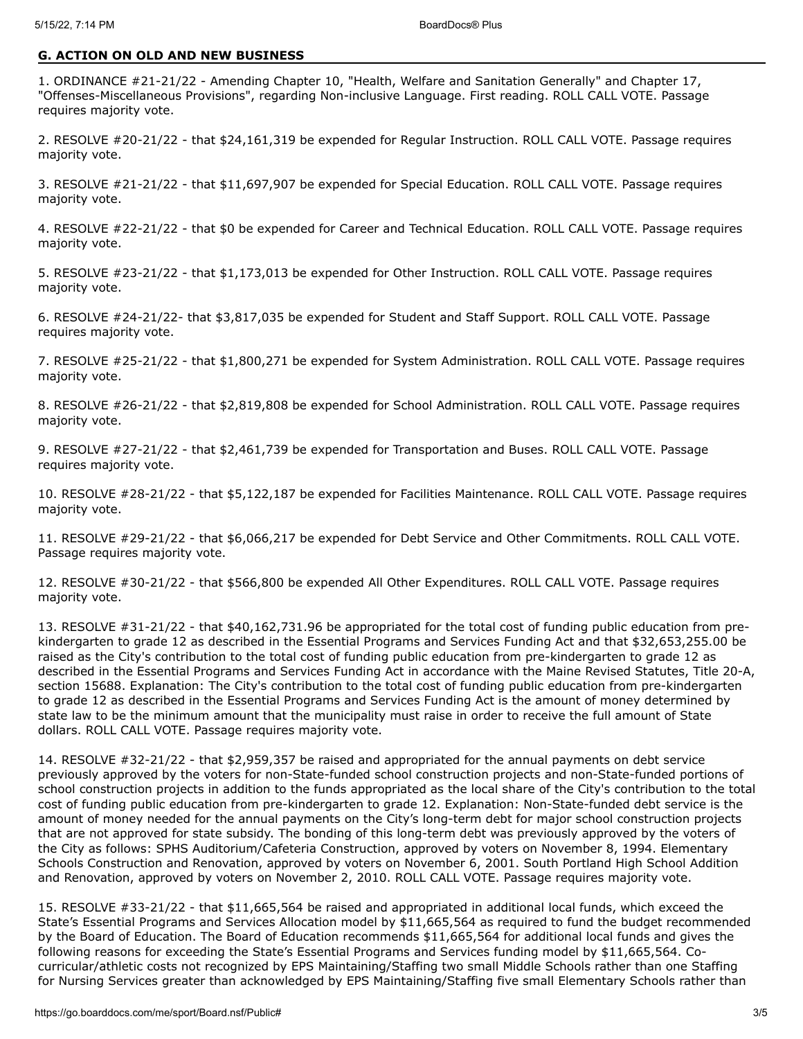### **G. ACTION ON OLD AND NEW BUSINESS**

1. ORDINANCE #21-21/22 - Amending Chapter 10, "Health, Welfare and Sanitation Generally" and Chapter 17, "Offenses-Miscellaneous Provisions", regarding Non-inclusive Language. First reading. ROLL CALL VOTE. Passage requires majority vote.

2. RESOLVE #20-21/22 - that \$24,161,319 be expended for Regular Instruction. ROLL CALL VOTE. Passage requires majority vote.

3. RESOLVE #21-21/22 - that \$11,697,907 be expended for Special Education. ROLL CALL VOTE. Passage requires majority vote.

4. RESOLVE #22-21/22 - that \$0 be expended for Career and Technical Education. ROLL CALL VOTE. Passage requires majority vote.

5. RESOLVE #23-21/22 - that \$1,173,013 be expended for Other Instruction. ROLL CALL VOTE. Passage requires majority vote.

6. RESOLVE #24-21/22- that \$3,817,035 be expended for Student and Staff Support. ROLL CALL VOTE. Passage requires majority vote.

7. RESOLVE #25-21/22 - that \$1,800,271 be expended for System Administration. ROLL CALL VOTE. Passage requires majority vote.

8. RESOLVE #26-21/22 - that \$2,819,808 be expended for School Administration. ROLL CALL VOTE. Passage requires majority vote.

9. RESOLVE #27-21/22 - that \$2,461,739 be expended for Transportation and Buses. ROLL CALL VOTE. Passage requires majority vote.

10. RESOLVE #28-21/22 - that \$5,122,187 be expended for Facilities Maintenance. ROLL CALL VOTE. Passage requires majority vote.

11. RESOLVE #29-21/22 - that \$6,066,217 be expended for Debt Service and Other Commitments. ROLL CALL VOTE. Passage requires majority vote.

12. RESOLVE #30-21/22 - that \$566,800 be expended All Other Expenditures. ROLL CALL VOTE. Passage requires majority vote.

13. RESOLVE #31-21/22 - that \$40,162,731.96 be appropriated for the total cost of funding public education from prekindergarten to grade 12 as described in the Essential Programs and Services Funding Act and that \$32,653,255.00 be raised as the City's contribution to the total cost of funding public education from pre-kindergarten to grade 12 as described in the Essential Programs and Services Funding Act in accordance with the Maine Revised Statutes, Title 20-A, section 15688. Explanation: The City's contribution to the total cost of funding public education from pre-kindergarten to grade 12 as described in the Essential Programs and Services Funding Act is the amount of money determined by state law to be the minimum amount that the municipality must raise in order to receive the full amount of State dollars. ROLL CALL VOTE. Passage requires majority vote.

14. RESOLVE #32-21/22 - that \$2,959,357 be raised and appropriated for the annual payments on debt service previously approved by the voters for non-State-funded school construction projects and non-State-funded portions of school construction projects in addition to the funds appropriated as the local share of the City's contribution to the total cost of funding public education from pre-kindergarten to grade 12. Explanation: Non-State-funded debt service is the amount of money needed for the annual payments on the City's long-term debt for major school construction projects that are not approved for state subsidy. The bonding of this long-term debt was previously approved by the voters of the City as follows: SPHS Auditorium/Cafeteria Construction, approved by voters on November 8, 1994. Elementary Schools Construction and Renovation, approved by voters on November 6, 2001. South Portland High School Addition and Renovation, approved by voters on November 2, 2010. ROLL CALL VOTE. Passage requires majority vote.

15. RESOLVE #33-21/22 - that \$11,665,564 be raised and appropriated in additional local funds, which exceed the State's Essential Programs and Services Allocation model by \$11,665,564 as required to fund the budget recommended by the Board of Education. The Board of Education recommends \$11,665,564 for additional local funds and gives the following reasons for exceeding the State's Essential Programs and Services funding model by \$11,665,564. Cocurricular/athletic costs not recognized by EPS Maintaining/Staffing two small Middle Schools rather than one Staffing for Nursing Services greater than acknowledged by EPS Maintaining/Staffing five small Elementary Schools rather than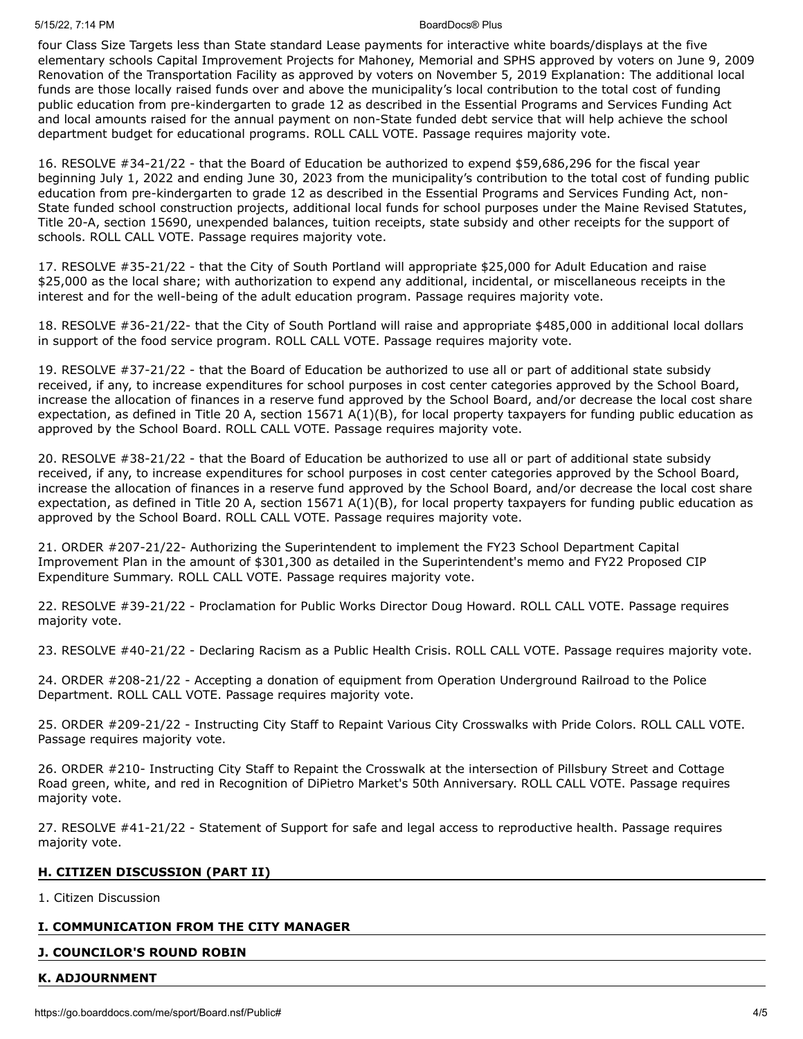### 5/15/22, 7:14 PM BoardDocs® Plus

four Class Size Targets less than State standard Lease payments for interactive white boards/displays at the five elementary schools Capital Improvement Projects for Mahoney, Memorial and SPHS approved by voters on June 9, 2009 Renovation of the Transportation Facility as approved by voters on November 5, 2019 Explanation: The additional local funds are those locally raised funds over and above the municipality's local contribution to the total cost of funding public education from pre-kindergarten to grade 12 as described in the Essential Programs and Services Funding Act and local amounts raised for the annual payment on non-State funded debt service that will help achieve the school department budget for educational programs. ROLL CALL VOTE. Passage requires majority vote.

16. RESOLVE #34-21/22 - that the Board of Education be authorized to expend \$59,686,296 for the fiscal year beginning July 1, 2022 and ending June 30, 2023 from the municipality's contribution to the total cost of funding public education from pre-kindergarten to grade 12 as described in the Essential Programs and Services Funding Act, non-State funded school construction projects, additional local funds for school purposes under the Maine Revised Statutes, Title 20-A, section 15690, unexpended balances, tuition receipts, state subsidy and other receipts for the support of schools. ROLL CALL VOTE. Passage requires majority vote.

17. RESOLVE #35-21/22 - that the City of South Portland will appropriate \$25,000 for Adult Education and raise \$25,000 as the local share; with authorization to expend any additional, incidental, or miscellaneous receipts in the interest and for the well-being of the adult education program. Passage requires majority vote.

18. RESOLVE #36-21/22- that the City of South Portland will raise and appropriate \$485,000 in additional local dollars in support of the food service program. ROLL CALL VOTE. Passage requires majority vote.

19. RESOLVE #37-21/22 - that the Board of Education be authorized to use all or part of additional state subsidy received, if any, to increase expenditures for school purposes in cost center categories approved by the School Board, increase the allocation of finances in a reserve fund approved by the School Board, and/or decrease the local cost share expectation, as defined in Title 20 A, section  $15671 A(1)(B)$ , for local property taxpayers for funding public education as approved by the School Board. ROLL CALL VOTE. Passage requires majority vote.

20. RESOLVE #38-21/22 - that the Board of Education be authorized to use all or part of additional state subsidy received, if any, to increase expenditures for school purposes in cost center categories approved by the School Board, increase the allocation of finances in a reserve fund approved by the School Board, and/or decrease the local cost share expectation, as defined in Title 20 A, section  $15671 A(1)(B)$ , for local property taxpayers for funding public education as approved by the School Board. ROLL CALL VOTE. Passage requires majority vote.

21. ORDER #207-21/22- Authorizing the Superintendent to implement the FY23 School Department Capital Improvement Plan in the amount of \$301,300 as detailed in the Superintendent's memo and FY22 Proposed CIP Expenditure Summary. ROLL CALL VOTE. Passage requires majority vote.

22. RESOLVE #39-21/22 - Proclamation for Public Works Director Doug Howard. ROLL CALL VOTE. Passage requires majority vote.

23. RESOLVE #40-21/22 - Declaring Racism as a Public Health Crisis. ROLL CALL VOTE. Passage requires majority vote.

24. ORDER #208-21/22 - Accepting a donation of equipment from Operation Underground Railroad to the Police Department. ROLL CALL VOTE. Passage requires majority vote.

25. ORDER #209-21/22 - Instructing City Staff to Repaint Various City Crosswalks with Pride Colors. ROLL CALL VOTE. Passage requires majority vote.

26. ORDER #210- Instructing City Staff to Repaint the Crosswalk at the intersection of Pillsbury Street and Cottage Road green, white, and red in Recognition of DiPietro Market's 50th Anniversary. ROLL CALL VOTE. Passage requires majority vote.

27. RESOLVE #41-21/22 - Statement of Support for safe and legal access to reproductive health. Passage requires majority vote.

# **H. CITIZEN DISCUSSION (PART II)**

1. Citizen Discussion

# **I. COMMUNICATION FROM THE CITY MANAGER**

# **J. COUNCILOR'S ROUND ROBIN**

### **K. ADJOURNMENT**